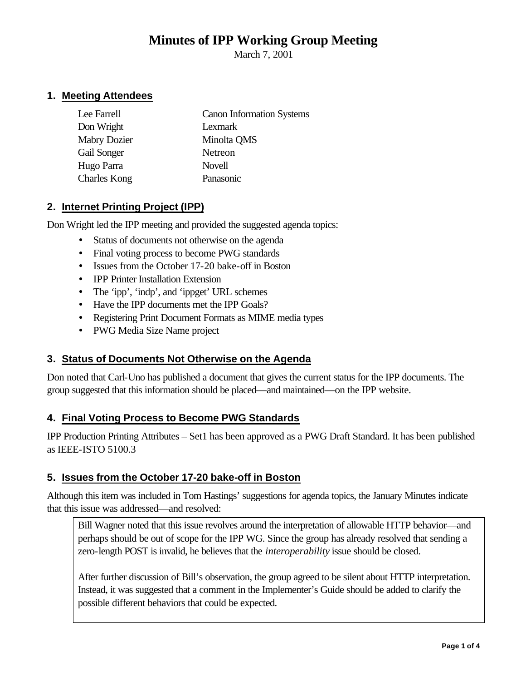# **Minutes of IPP Working Group Meeting**

March 7, 2001

# **1. Meeting Attendees**

| Lee Farrell         | <b>Canon Information Systems</b> |
|---------------------|----------------------------------|
| Don Wright          | Lexmark                          |
| <b>Mabry Dozier</b> | Minolta QMS                      |
| Gail Songer         | Netreon                          |
| Hugo Parra          | Novell                           |
| <b>Charles Kong</b> | Panasonic                        |

# **2. Internet Printing Project (IPP)**

Don Wright led the IPP meeting and provided the suggested agenda topics:

- Status of documents not otherwise on the agenda
- Final voting process to become PWG standards
- Issues from the October 17-20 bake-off in Boston
- IPP Printer Installation Extension
- The 'ipp', 'indp', and 'ippget' URL schemes
- Have the IPP documents met the IPP Goals?
- Registering Print Document Formats as MIME media types
- PWG Media Size Name project

# **3. Status of Documents Not Otherwise on the Agenda**

Don noted that Carl-Uno has published a document that gives the current status for the IPP documents. The group suggested that this information should be placed—and maintained—on the IPP website.

# **4. Final Voting Process to Become PWG Standards**

IPP Production Printing Attributes – Set1 has been approved as a PWG Draft Standard. It has been published as IEEE-ISTO 5100.3

# **5. Issues from the October 17-20 bake-off in Boston**

Although this item was included in Tom Hastings' suggestions for agenda topics, the January Minutes indicate that this issue was addressed—and resolved:

Bill Wagner noted that this issue revolves around the interpretation of allowable HTTP behavior—and perhaps should be out of scope for the IPP WG. Since the group has already resolved that sending a zero-length POST is invalid, he believes that the *interoperability* issue should be closed.

After further discussion of Bill's observation, the group agreed to be silent about HTTP interpretation. Instead, it was suggested that a comment in the Implementer's Guide should be added to clarify the possible different behaviors that could be expected.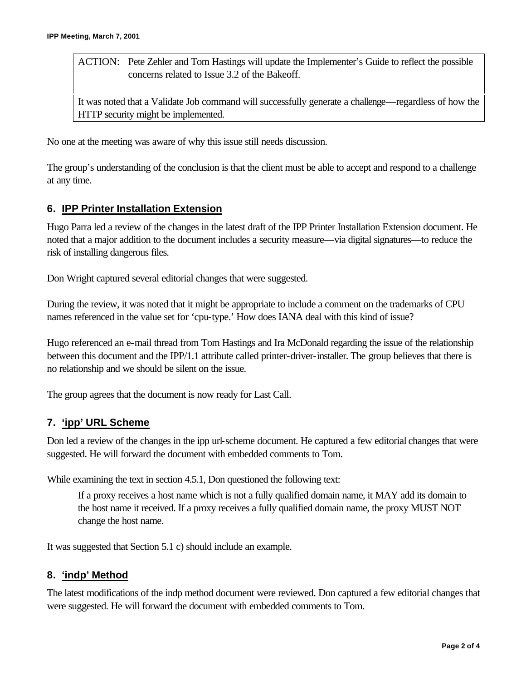ACTION: Pete Zehler and Tom Hastings will update the Implementer's Guide to reflect the possible concerns related to Issue 3.2 of the Bakeoff.

It was noted that a Validate Job command will successfully generate a challenge—regardless of how the HTTP security might be implemented.

No one at the meeting was aware of why this issue still needs discussion.

The group's understanding of the conclusion is that the client must be able to accept and respond to a challenge at any time.

#### **6. IPP Printer Installation Extension**

Hugo Parra led a review of the changes in the latest draft of the IPP Printer Installation Extension document. He noted that a major addition to the document includes a security measure—via digital signatures—to reduce the risk of installing dangerous files.

Don Wright captured several editorial changes that were suggested.

During the review, it was noted that it might be appropriate to include a comment on the trademarks of CPU names referenced in the value set for 'cpu-type.' How does IANA deal with this kind of issue?

Hugo referenced an e-mail thread from Tom Hastings and Ira McDonald regarding the issue of the relationship between this document and the IPP/1.1 attribute called printer-driver-installer. The group believes that there is no relationship and we should be silent on the issue.

The group agrees that the document is now ready for Last Call.

#### **7. 'ipp' URL Scheme**

Don led a review of the changes in the ipp url-scheme document. He captured a few editorial changes that were suggested. He will forward the document with embedded comments to Tom.

While examining the text in section 4.5.1, Don questioned the following text:

If a proxy receives a host name which is not a fully qualified domain name, it MAY add its domain to the host name it received. If a proxy receives a fully qualified domain name, the proxy MUST NOT change the host name.

It was suggested that Section 5.1 c) should include an example.

#### **8. 'indp' Method**

The latest modifications of the indp method document were reviewed. Don captured a few editorial changes that were suggested. He will forward the document with embedded comments to Tom.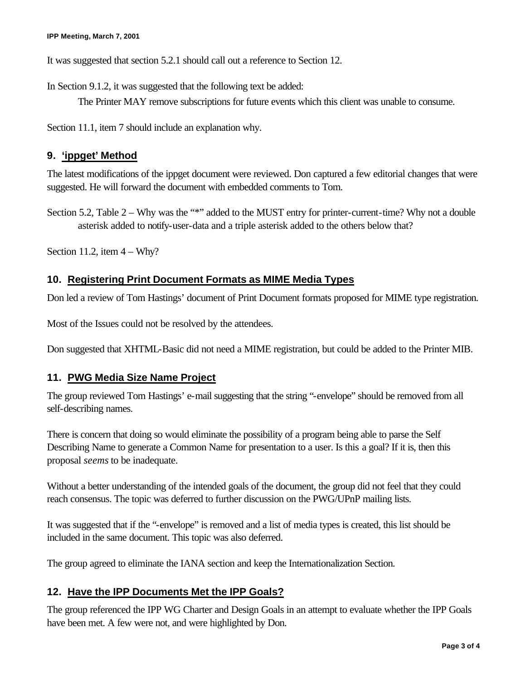It was suggested that section 5.2.1 should call out a reference to Section 12.

In Section 9.1.2, it was suggested that the following text be added:

The Printer MAY remove subscriptions for future events which this client was unable to consume.

Section 11.1, item 7 should include an explanation why.

### **9. 'ippget' Method**

The latest modifications of the ippget document were reviewed. Don captured a few editorial changes that were suggested. He will forward the document with embedded comments to Tom.

Section 5.2, Table 2 – Why was the "\*" added to the MUST entry for printer-current-time? Why not a double asterisk added to notify-user-data and a triple asterisk added to the others below that?

Section 11.2, item  $4 - Why$ ?

### **10. Registering Print Document Formats as MIME Media Types**

Don led a review of Tom Hastings' document of Print Document formats proposed for MIME type registration.

Most of the Issues could not be resolved by the attendees.

Don suggested that XHTML-Basic did not need a MIME registration, but could be added to the Printer MIB.

### **11. PWG Media Size Name Project**

The group reviewed Tom Hastings' e-mail suggesting that the string "-envelope" should be removed from all self-describing names.

There is concern that doing so would eliminate the possibility of a program being able to parse the Self Describing Name to generate a Common Name for presentation to a user. Is this a goal? If it is, then this proposal *seems* to be inadequate.

Without a better understanding of the intended goals of the document, the group did not feel that they could reach consensus. The topic was deferred to further discussion on the PWG/UPnP mailing lists.

It was suggested that if the "-envelope" is removed and a list of media types is created, this list should be included in the same document. This topic was also deferred.

The group agreed to eliminate the IANA section and keep the Internationalization Section.

# **12. Have the IPP Documents Met the IPP Goals?**

The group referenced the IPP WG Charter and Design Goals in an attempt to evaluate whether the IPP Goals have been met. A few were not, and were highlighted by Don.